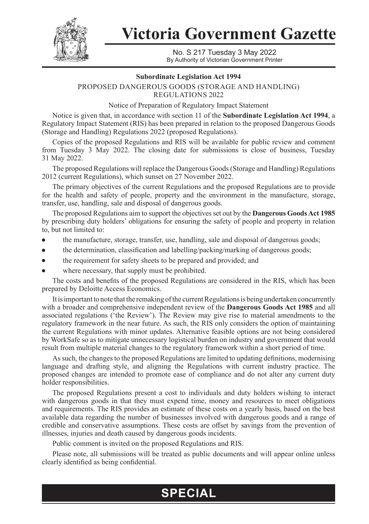

**Victoria Government Gazette**

No. S 217 Tuesday 3 May 2022 By Authority of Victorian Government Printer

## **Subordinate Legislation Act 1994**

PROPOSED DANGEROUS GOODS (STORAGE AND HANDLING) REGULATIONS 2022

Notice of Preparation of Regulatory Impact Statement

Notice is given that, in accordance with section 11 of the **Subordinate Legislation Act 1994**, a Regulatory Impact Statement (RIS) has been prepared in relation to the proposed Dangerous Goods (Storage and Handling) Regulations 2022 (proposed Regulations).

Copies of the proposed Regulations and RIS will be available for public review and comment from Tuesday 3 May 2022. The closing date for submissions is close of business, Tuesday 31 May 2022.

The proposed Regulations will replace the Dangerous Goods (Storage and Handling) Regulations 2012 (current Regulations), which sunset on 27 November 2022.

The primary objectives of the current Regulations and the proposed Regulations are to provide for the health and safety of people, property and the environment in the manufacture, storage, transfer, use, handling, sale and disposal of dangerous goods.

The proposed Regulations aim to support the objectives set out by the **Dangerous Goods Act 1985** by prescribing duty holders' obligations for ensuring the safety of people and property in relation to, but not limited to:

- the manufacture, storage, transfer, use, handling, sale and disposal of dangerous goods;
- the determination, classification and labelling/packing/marking of dangerous goods;
- the requirement for safety sheets to be prepared and provided; and
- where necessary, that supply must be prohibited.

The costs and benefits of the proposed Regulations are considered in the RIS, which has been prepared by Deloitte Access Economics.

It is important to note that the remaking of the current Regulations is being undertaken concurrently with a broader and comprehensive independent review of the **Dangerous Goods Act 1985** and all associated regulations ('the Review'). The Review may give rise to material amendments to the regulatory framework in the near future. As such, the RIS only considers the option of maintaining the current Regulations with minor updates. Alternative feasible options are not being considered by WorkSafe so as to mitigate unnecessary logistical burden on industry and government that would result from multiple material changes to the regulatory framework within a short period of time.

Assuch, the changesto the proposed Regulations are limited to updating definitions, modernising language and drafting style, and aligning the Regulations with current industry practice. The proposed changes are intended to promote ease of compliance and do not alter any current duty holder responsibilities.

The proposed Regulations present a cost to individuals and duty holders wishing to interact with dangerous goods in that they must expend time, money and resources to meet obligations and requirements. The RIS provides an estimate of these costs on a yearly basis, based on the best available data regarding the number of businesses involved with dangerous goods and a range of credible and conservative assumptions. These costs are offset by savings from the prevention of illnesses, injuries and death caused by dangerous goods incidents.

Public comment is invited on the proposed Regulations and RIS.

Please note, all submissions will be treated as public documents and will appear online unless clearly identified as being confidential.

## **SPECIAL**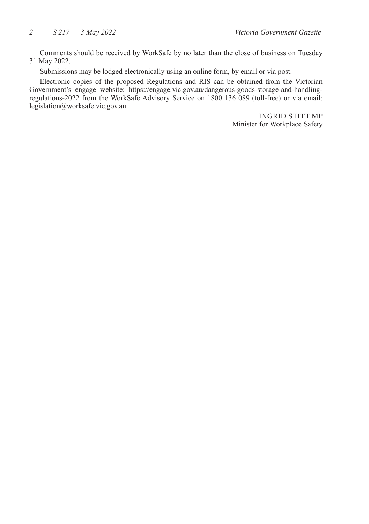Comments should be received by WorkSafe by no later than the close of business on Tuesday 31 May 2022.

Submissions may be lodged electronically using an online form, by email or via post.

Electronic copies of the proposed Regulations and RIS can be obtained from the Victorian Government's engage website: https://engage.vic.gov.au/dangerous-goods-storage-and-handlingregulations-2022 from the WorkSafe Advisory Service on 1800 136 089 (toll-free) or via email: legislation@worksafe.vic.gov.au

> INGRID STITT MP Minister for Workplace Safety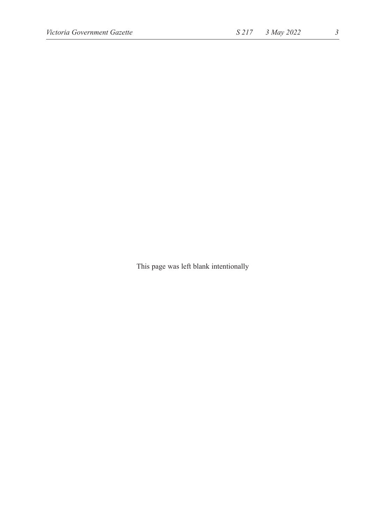This page was left blank intentionally